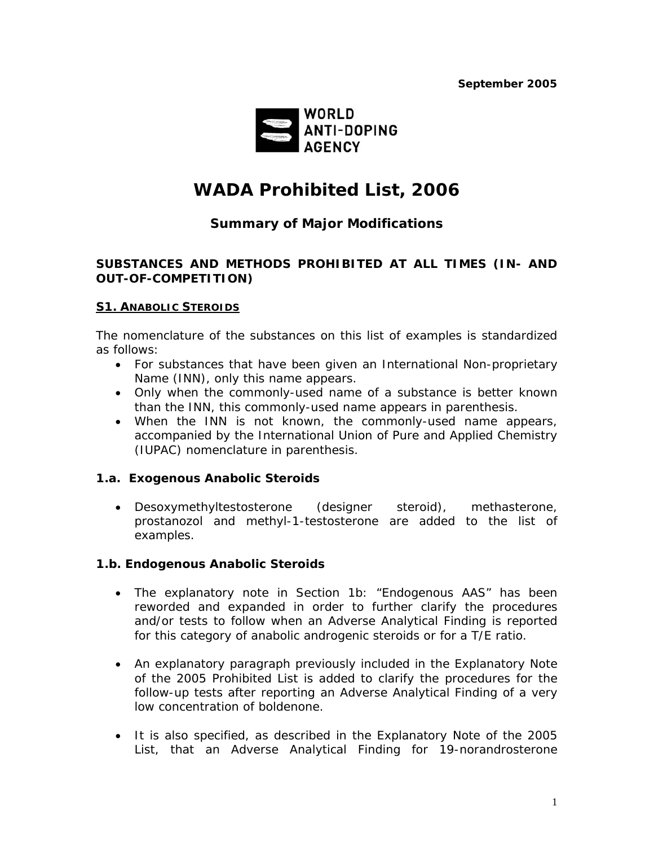

# *WADA Prohibited List, 2006*

# *Summary of Major Modifications*

#### **SUBSTANCES AND METHODS PROHIBITED AT ALL TIMES (IN- AND OUT-OF-COMPETITION)**

#### **S1. ANABOLIC STEROIDS**

The nomenclature of the substances on this list of examples is standardized as follows:

- For substances that have been given an International Non-proprietary Name (INN), only this name appears.
- Only when the commonly-used name of a substance is better known than the INN, this commonly-used name appears in parenthesis.
- When the INN is not known, the commonly-used name appears, accompanied by the International Union of Pure and Applied Chemistry (IUPAC) nomenclature in parenthesis.

#### **1.a. Exogenous Anabolic Steroids**

• Desoxymethyltestosterone (designer steroid), methasterone, prostanozol and methyl-1-testosterone are added to the list of examples.

#### **1.b. Endogenous Anabolic Steroids**

- The explanatory note in Section 1b: "Endogenous AAS" has been reworded and expanded in order to further clarify the procedures and/or tests to follow when an Adverse Analytical Finding is reported for this category of anabolic androgenic steroids or for a T/E ratio.
- An explanatory paragraph previously included in the Explanatory Note of the 2005 Prohibited List is added to clarify the procedures for the follow-up tests after reporting an Adverse Analytical Finding of a very low concentration of boldenone.
- It is also specified, as described in the Explanatory Note of the 2005 List, that an Adverse Analytical Finding for 19-norandrosterone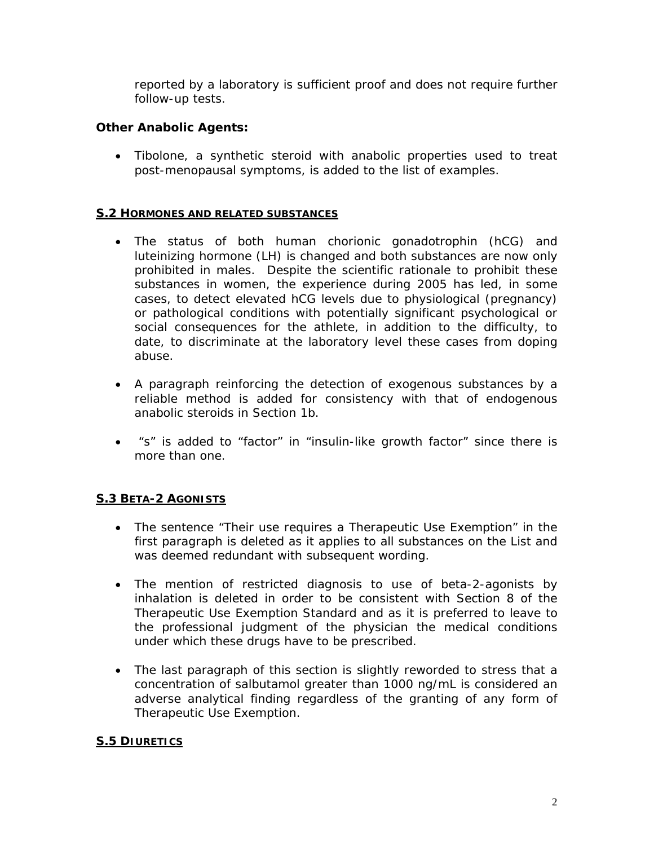reported by a laboratory is sufficient proof and does not require further follow-up tests.

## **Other Anabolic Agents:**

• Tibolone, a synthetic steroid with anabolic properties used to treat post-menopausal symptoms, is added to the list of examples.

#### **S.2 HORMONES AND RELATED SUBSTANCES**

- The status of both human chorionic gonadotrophin (hCG) and luteinizing hormone (LH) is changed and both substances are now only prohibited in males. Despite the scientific rationale to prohibit these substances in women, the experience during 2005 has led, in some cases, to detect elevated hCG levels due to physiological (pregnancy) or pathological conditions with potentially significant psychological or social consequences for the athlete, in addition to the difficulty, to date, to discriminate at the laboratory level these cases from doping abuse.
- A paragraph reinforcing the detection of exogenous substances by a reliable method is added for consistency with that of endogenous anabolic steroids in Section 1b.
- "s" is added to "factor" in "insulin-like growth factor" since there is more than one.

# **S.3 BETA-2 AGONISTS**

- The sentence "*Their use requires a Therapeutic Use Exemption*" in the first paragraph is deleted as it applies to all substances on the List and was deemed redundant with subsequent wording.
- The mention of restricted diagnosis to use of beta-2-agonists by inhalation is deleted in order to be consistent with Section 8 of the Therapeutic Use Exemption Standard and as it is preferred to leave to the professional judgment of the physician the medical conditions under which these drugs have to be prescribed.
- The last paragraph of this section is slightly reworded to stress that a concentration of salbutamol greater than 1000 ng/mL is considered an adverse analytical finding regardless of the granting of any form of Therapeutic Use Exemption.

# **S.5 DIURETICS**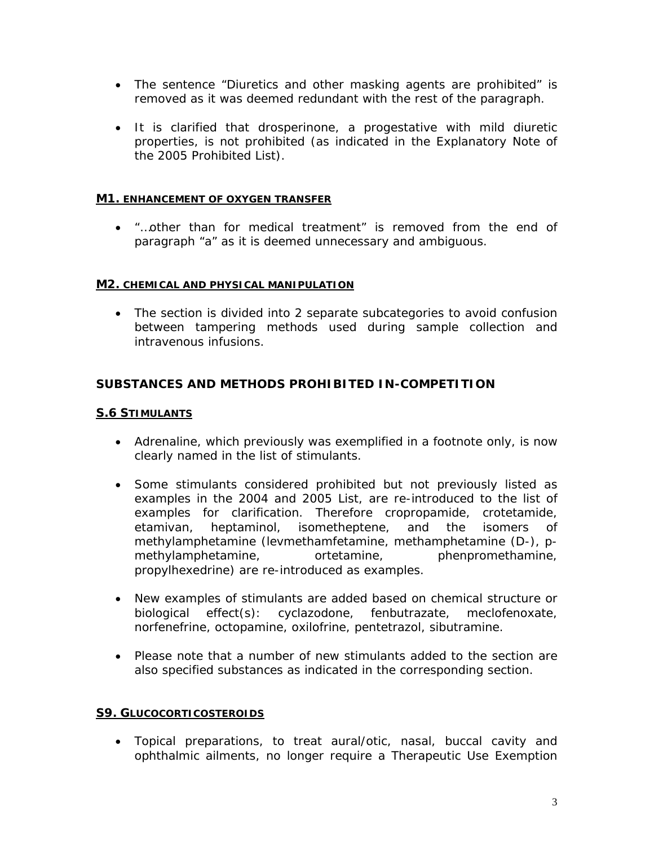- The sentence "*Diuretics and other masking agents are prohibited*" is removed as it was deemed redundant with the rest of the paragraph.
- It is clarified that drosperinone, a progestative with mild diuretic properties, is not prohibited (as indicated in the Explanatory Note of the 2005 Prohibited List).

#### **M1. ENHANCEMENT OF OXYGEN TRANSFER**

• "…*other than for medical treatment*" is removed from the end of paragraph "a" as it is deemed unnecessary and ambiguous.

#### **M2. CHEMICAL AND PHYSICAL MANIPULATION**

• The section is divided into 2 separate subcategories to avoid confusion between tampering methods used during sample collection and intravenous infusions.

# **SUBSTANCES AND METHODS PROHIBITED IN-COMPETITION**

#### **S.6 STIMULANTS**

- Adrenaline, which previously was exemplified in a footnote only, is now clearly named in the list of stimulants.
- Some stimulants considered prohibited but not previously listed as examples in the 2004 and 2005 List, are re-introduced to the list of examples for clarification. Therefore cropropamide, crotetamide, etamivan, heptaminol, isometheptene, and the isomers of methylamphetamine (levmethamfetamine, methamphetamine (D-), pmethylamphetamine, ortetamine, phenpromethamine, propylhexedrine) are re-introduced as examples.
- New examples of stimulants are added based on chemical structure or biological effect(s): cyclazodone, fenbutrazate, meclofenoxate, norfenefrine, octopamine, oxilofrine, pentetrazol, sibutramine.
- Please note that a number of new stimulants added to the section are also specified substances as indicated in the corresponding section.

#### **S9. GLUCOCORTICOSTEROIDS**

• Topical preparations, to treat aural/otic, nasal, buccal cavity and ophthalmic ailments, no longer require a Therapeutic Use Exemption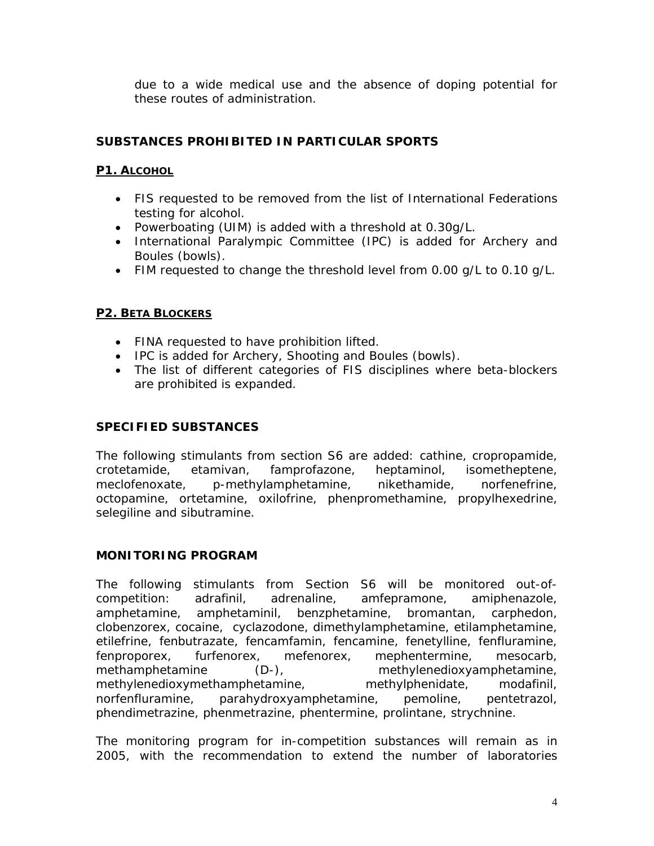due to a wide medical use and the absence of doping potential for these routes of administration.

# **SUBSTANCES PROHIBITED IN PARTICULAR SPORTS**

#### **P1. ALCOHOL**

- FIS requested to be removed from the list of International Federations testing for alcohol.
- Powerboating (UIM) is added with a threshold at 0.30g/L.
- International Paralympic Committee (IPC) is added for Archery and Boules (bowls).
- FIM requested to change the threshold level from 0.00 g/L to 0.10 g/L.

#### **P2. BETA BLOCKERS**

- FINA requested to have prohibition lifted.
- IPC is added for Archery, Shooting and Boules (bowls).
- The list of different categories of FIS disciplines where beta-blockers are prohibited is expanded.

## **SPECIFIED SUBSTANCES**

The following stimulants from section S6 are added: cathine, cropropamide, crotetamide, etamivan, famprofazone, heptaminol, isometheptene, meclofenoxate, p-methylamphetamine, nikethamide, norfenefrine, octopamine, ortetamine, oxilofrine, phenpromethamine, propylhexedrine, selegiline and sibutramine.

#### **MONITORING PROGRAM**

The following stimulants from Section S6 will be monitored out-ofcompetition: adrafinil, adrenaline, amfepramone, amiphenazole, amphetamine, amphetaminil, benzphetamine, bromantan, carphedon, clobenzorex, cocaine, cyclazodone, dimethylamphetamine, etilamphetamine, etilefrine, fenbutrazate, fencamfamin, fencamine, fenetylline, fenfluramine, fenproporex, furfenorex, mefenorex, mephentermine, mesocarb, methamphetamine (D-), methylenedioxyamphetamine, methylenedioxymethamphetamine, methylphenidate, modafinil, norfenfluramine, parahydroxyamphetamine, pemoline, pentetrazol, phendimetrazine, phenmetrazine, phentermine, prolintane, strychnine.

The monitoring program for in-competition substances will remain as in 2005, with the recommendation to extend the number of laboratories